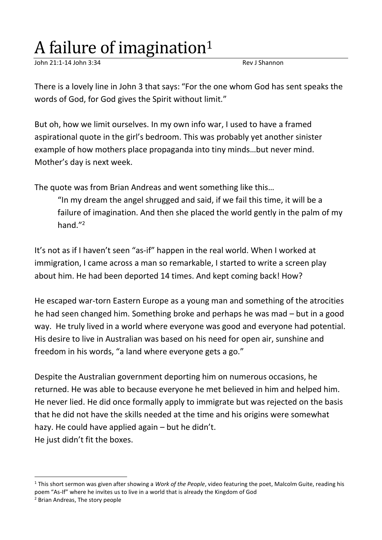## A failure of imagination<sup>1</sup>

John 21:1-14 John 3:34 Rev J Shannon

There is a lovely line in John 3 that says: "For the one whom God has sent speaks the words of God, for God gives the Spirit without limit."

But oh, how we limit ourselves. In my own info war, I used to have a framed aspirational quote in the girl's bedroom. This was probably yet another sinister example of how mothers place propaganda into tiny minds…but never mind. Mother's day is next week.

The quote was from Brian Andreas and went something like this…

"In my dream the angel shrugged and said, if we fail this time, it will be a failure of imagination. And then she placed the world gently in the palm of my hand." 2

It's not as if I haven't seen "as-if" happen in the real world. When I worked at immigration, I came across a man so remarkable, I started to write a screen play about him. He had been deported 14 times. And kept coming back! How?

He escaped war-torn Eastern Europe as a young man and something of the atrocities he had seen changed him. Something broke and perhaps he was mad – but in a good way. He truly lived in a world where everyone was good and everyone had potential. His desire to live in Australian was based on his need for open air, sunshine and freedom in his words, "a land where everyone gets a go."

Despite the Australian government deporting him on numerous occasions, he returned. He was able to because everyone he met believed in him and helped him. He never lied. He did once formally apply to immigrate but was rejected on the basis that he did not have the skills needed at the time and his origins were somewhat hazy. He could have applied again – but he didn't. He just didn't fit the boxes.

<sup>1</sup> This short sermon was given after showing a *Work of the People*, video featuring the poet, Malcolm Guite, reading his poem "As-If" where he invites us to live in a world that is already the Kingdom of God

<sup>2</sup> Brian Andreas, The story people